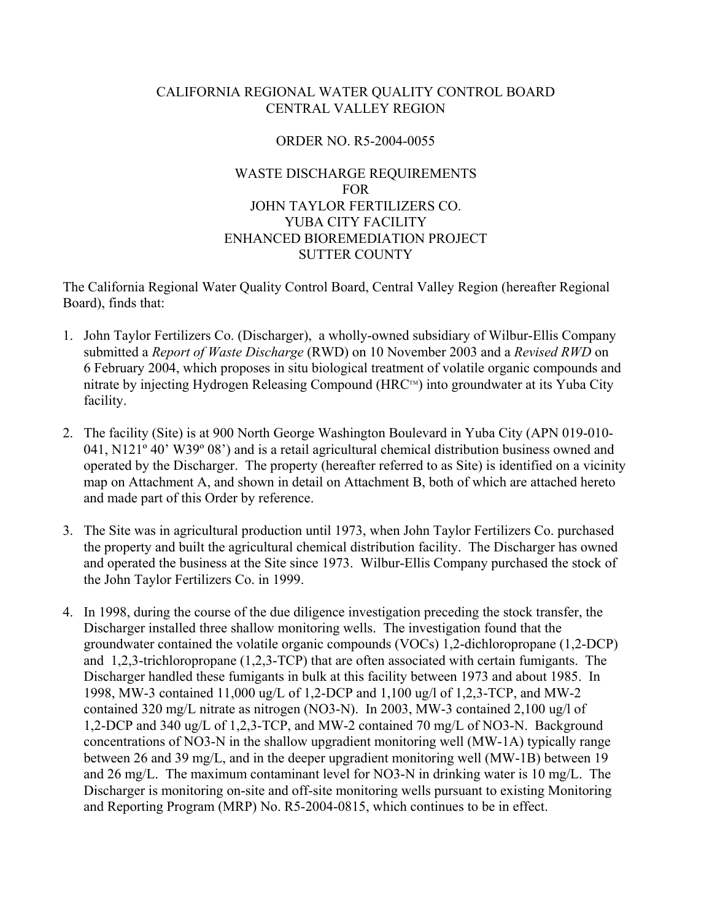## CALIFORNIA REGIONAL WATER QUALITY CONTROL BOARD CENTRAL VALLEY REGION

### ORDER NO. R5-2004-0055

# WASTE DISCHARGE REQUIREMENTS FOR JOHN TAYLOR FERTILIZERS CO. YUBA CITY FACILITY ENHANCED BIOREMEDIATION PROJECT SUTTER COUNTY

The California Regional Water Quality Control Board, Central Valley Region (hereafter Regional Board), finds that:

- 1. John Taylor Fertilizers Co. (Discharger), a wholly-owned subsidiary of Wilbur-Ellis Company submitted a *Report of Waste Discharge* (RWD) on 10 November 2003 and a *Revised RWD* on 6 February 2004, which proposes in situ biological treatment of volatile organic compounds and nitrate by injecting Hydrogen Releasing Compound ( $HRC^M$ ) into groundwater at its Yuba City facility.
- 2. The facility (Site) is at 900 North George Washington Boulevard in Yuba City (APN 019-010- 041, N121º 40' W39º 08') and is a retail agricultural chemical distribution business owned and operated by the Discharger. The property (hereafter referred to as Site) is identified on a vicinity map on Attachment A, and shown in detail on Attachment B, both of which are attached hereto and made part of this Order by reference.
- 3. The Site was in agricultural production until 1973, when John Taylor Fertilizers Co. purchased the property and built the agricultural chemical distribution facility. The Discharger has owned and operated the business at the Site since 1973. Wilbur-Ellis Company purchased the stock of the John Taylor Fertilizers Co. in 1999.
- 4. In 1998, during the course of the due diligence investigation preceding the stock transfer, the Discharger installed three shallow monitoring wells. The investigation found that the groundwater contained the volatile organic compounds (VOCs) 1,2-dichloropropane (1,2-DCP) and 1,2,3-trichloropropane (1,2,3-TCP) that are often associated with certain fumigants. The Discharger handled these fumigants in bulk at this facility between 1973 and about 1985. In 1998, MW-3 contained 11,000 ug/L of 1,2-DCP and 1,100 ug/l of 1,2,3-TCP, and MW-2 contained 320 mg/L nitrate as nitrogen (NO3-N). In 2003, MW-3 contained 2,100 ug/l of 1,2-DCP and 340 ug/L of 1,2,3-TCP, and MW-2 contained 70 mg/L of NO3-N. Background concentrations of NO3-N in the shallow upgradient monitoring well (MW-1A) typically range between 26 and 39 mg/L, and in the deeper upgradient monitoring well (MW-1B) between 19 and 26 mg/L. The maximum contaminant level for NO3-N in drinking water is 10 mg/L. The Discharger is monitoring on-site and off-site monitoring wells pursuant to existing Monitoring and Reporting Program (MRP) No. R5-2004-0815, which continues to be in effect.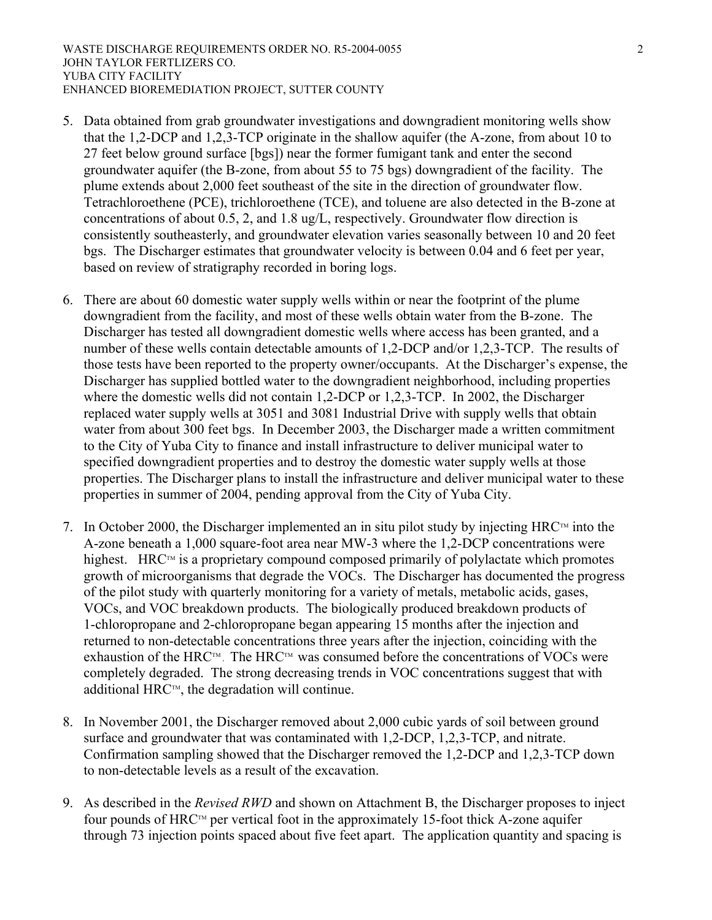- 5. Data obtained from grab groundwater investigations and downgradient monitoring wells show that the 1,2-DCP and 1,2,3-TCP originate in the shallow aquifer (the A-zone, from about 10 to 27 feet below ground surface [bgs]) near the former fumigant tank and enter the second groundwater aquifer (the B-zone, from about 55 to 75 bgs) downgradient of the facility. The plume extends about 2,000 feet southeast of the site in the direction of groundwater flow. Tetrachloroethene (PCE), trichloroethene (TCE), and toluene are also detected in the B-zone at concentrations of about 0.5, 2, and 1.8 ug/L, respectively. Groundwater flow direction is consistently southeasterly, and groundwater elevation varies seasonally between 10 and 20 feet bgs. The Discharger estimates that groundwater velocity is between 0.04 and 6 feet per year, based on review of stratigraphy recorded in boring logs.
- 6. There are about 60 domestic water supply wells within or near the footprint of the plume downgradient from the facility, and most of these wells obtain water from the B-zone. The Discharger has tested all downgradient domestic wells where access has been granted, and a number of these wells contain detectable amounts of 1,2-DCP and/or 1,2,3-TCP. The results of those tests have been reported to the property owner/occupants. At the Discharger's expense, the Discharger has supplied bottled water to the downgradient neighborhood, including properties where the domestic wells did not contain 1,2-DCP or 1,2,3-TCP. In 2002, the Discharger replaced water supply wells at 3051 and 3081 Industrial Drive with supply wells that obtain water from about 300 feet bgs. In December 2003, the Discharger made a written commitment to the City of Yuba City to finance and install infrastructure to deliver municipal water to specified downgradient properties and to destroy the domestic water supply wells at those properties. The Discharger plans to install the infrastructure and deliver municipal water to these properties in summer of 2004, pending approval from the City of Yuba City.
- 7. In October 2000, the Discharger implemented an in situ pilot study by injecting  $HRC<sup>TM</sup>$  into the A-zone beneath a 1,000 square-foot area near MW-3 where the 1,2-DCP concentrations were highest. HRC<sup>TM</sup> is a proprietary compound composed primarily of polylactate which promotes growth of microorganisms that degrade the VOCs. The Discharger has documented the progress of the pilot study with quarterly monitoring for a variety of metals, metabolic acids, gases, VOCs, and VOC breakdown products. The biologically produced breakdown products of 1-chloropropane and 2-chloropropane began appearing 15 months after the injection and returned to non-detectable concentrations three years after the injection, coinciding with the exhaustion of the HRC<sup>TM</sup>. The HRC<sup>TM</sup> was consumed before the concentrations of VOCs were completely degraded. The strong decreasing trends in VOC concentrations suggest that with additional  $HRC^m$ , the degradation will continue.
- 8. In November 2001, the Discharger removed about 2,000 cubic yards of soil between ground surface and groundwater that was contaminated with 1,2-DCP, 1,2,3-TCP, and nitrate. Confirmation sampling showed that the Discharger removed the 1,2-DCP and 1,2,3-TCP down to non-detectable levels as a result of the excavation.
- 9. As described in the *Revised RWD* and shown on Attachment B, the Discharger proposes to inject four pounds of  $HRC<sup>TM</sup>$  per vertical foot in the approximately 15-foot thick A-zone aquifer through 73 injection points spaced about five feet apart. The application quantity and spacing is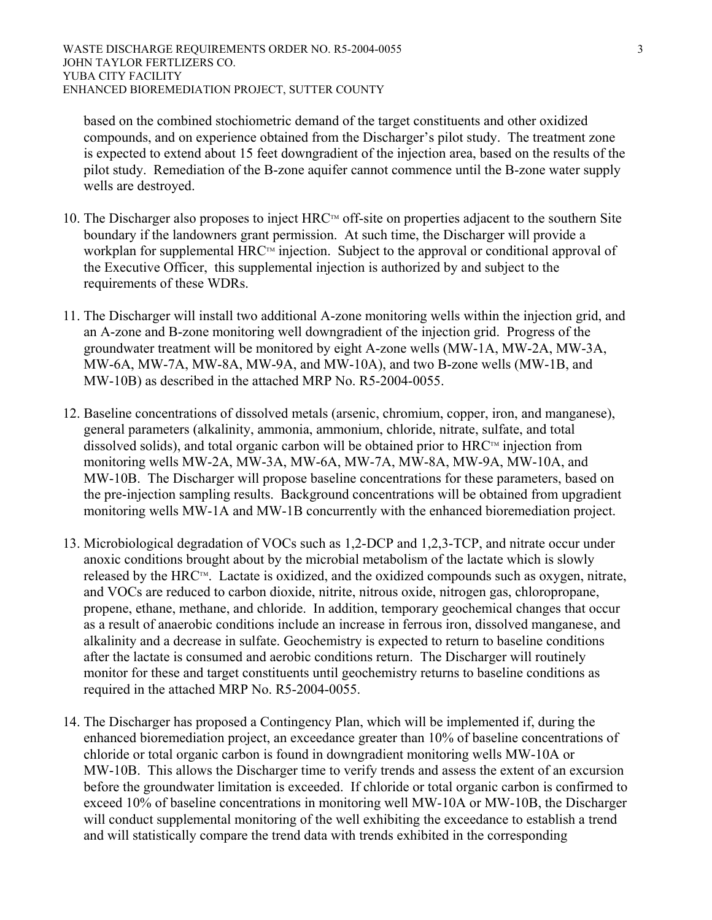based on the combined stochiometric demand of the target constituents and other oxidized compounds, and on experience obtained from the Discharger's pilot study. The treatment zone is expected to extend about 15 feet downgradient of the injection area, based on the results of the pilot study. Remediation of the B-zone aquifer cannot commence until the B-zone water supply wells are destroyed.

- 10. The Discharger also proposes to inject HRC<sup>TM</sup> off-site on properties adjacent to the southern Site boundary if the landowners grant permission. At such time, the Discharger will provide a workplan for supplemental  $HRC<sup>TM</sup>$  injection. Subject to the approval or conditional approval of the Executive Officer, this supplemental injection is authorized by and subject to the requirements of these WDRs.
- 11. The Discharger will install two additional A-zone monitoring wells within the injection grid, and an A-zone and B-zone monitoring well downgradient of the injection grid. Progress of the groundwater treatment will be monitored by eight A-zone wells (MW-1A, MW-2A, MW-3A, MW-6A, MW-7A, MW-8A, MW-9A, and MW-10A), and two B-zone wells (MW-1B, and MW-10B) as described in the attached MRP No. R5-2004-0055.
- 12. Baseline concentrations of dissolved metals (arsenic, chromium, copper, iron, and manganese), general parameters (alkalinity, ammonia, ammonium, chloride, nitrate, sulfate, and total dissolved solids), and total organic carbon will be obtained prior to  $HRC<sup>TM</sup>$  injection from monitoring wells MW-2A, MW-3A, MW-6A, MW-7A, MW-8A, MW-9A, MW-10A, and MW-10B. The Discharger will propose baseline concentrations for these parameters, based on the pre-injection sampling results. Background concentrations will be obtained from upgradient monitoring wells MW-1A and MW-1B concurrently with the enhanced bioremediation project.
- 13. Microbiological degradation of VOCs such as 1,2-DCP and 1,2,3-TCP, and nitrate occur under anoxic conditions brought about by the microbial metabolism of the lactate which is slowly released by the HRC<sup>TM</sup>. Lactate is oxidized, and the oxidized compounds such as oxygen, nitrate, and VOCs are reduced to carbon dioxide, nitrite, nitrous oxide, nitrogen gas, chloropropane, propene, ethane, methane, and chloride. In addition, temporary geochemical changes that occur as a result of anaerobic conditions include an increase in ferrous iron, dissolved manganese, and alkalinity and a decrease in sulfate. Geochemistry is expected to return to baseline conditions after the lactate is consumed and aerobic conditions return. The Discharger will routinely monitor for these and target constituents until geochemistry returns to baseline conditions as required in the attached MRP No. R5-2004-0055.
- 14. The Discharger has proposed a Contingency Plan, which will be implemented if, during the enhanced bioremediation project, an exceedance greater than 10% of baseline concentrations of chloride or total organic carbon is found in downgradient monitoring wells MW-10A or MW-10B. This allows the Discharger time to verify trends and assess the extent of an excursion before the groundwater limitation is exceeded. If chloride or total organic carbon is confirmed to exceed 10% of baseline concentrations in monitoring well MW-10A or MW-10B, the Discharger will conduct supplemental monitoring of the well exhibiting the exceedance to establish a trend and will statistically compare the trend data with trends exhibited in the corresponding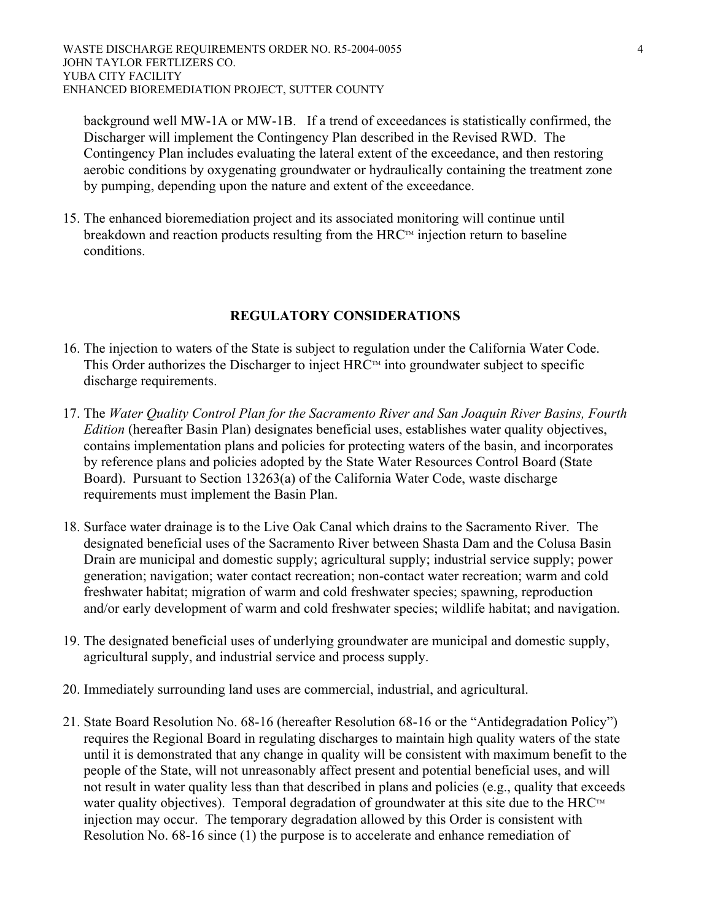background well MW-1A or MW-1B. If a trend of exceedances is statistically confirmed, the Discharger will implement the Contingency Plan described in the Revised RWD. The Contingency Plan includes evaluating the lateral extent of the exceedance, and then restoring aerobic conditions by oxygenating groundwater or hydraulically containing the treatment zone by pumping, depending upon the nature and extent of the exceedance.

15. The enhanced bioremediation project and its associated monitoring will continue until breakdown and reaction products resulting from the  $HRC<sup>TM</sup>$  injection return to baseline conditions.

## **REGULATORY CONSIDERATIONS**

- 16. The injection to waters of the State is subject to regulation under the California Water Code. This Order authorizes the Discharger to inject  $HRC<sup>TM</sup>$  into groundwater subject to specific discharge requirements.
- 17. The *Water Quality Control Plan for the Sacramento River and San Joaquin River Basins, Fourth Edition* (hereafter Basin Plan) designates beneficial uses, establishes water quality objectives, contains implementation plans and policies for protecting waters of the basin, and incorporates by reference plans and policies adopted by the State Water Resources Control Board (State Board). Pursuant to Section 13263(a) of the California Water Code, waste discharge requirements must implement the Basin Plan.
- 18. Surface water drainage is to the Live Oak Canal which drains to the Sacramento River. The designated beneficial uses of the Sacramento River between Shasta Dam and the Colusa Basin Drain are municipal and domestic supply; agricultural supply; industrial service supply; power generation; navigation; water contact recreation; non-contact water recreation; warm and cold freshwater habitat; migration of warm and cold freshwater species; spawning, reproduction and/or early development of warm and cold freshwater species; wildlife habitat; and navigation.
- 19. The designated beneficial uses of underlying groundwater are municipal and domestic supply, agricultural supply, and industrial service and process supply.
- 20. Immediately surrounding land uses are commercial, industrial, and agricultural.
- 21. State Board Resolution No. 68-16 (hereafter Resolution 68-16 or the "Antidegradation Policy") requires the Regional Board in regulating discharges to maintain high quality waters of the state until it is demonstrated that any change in quality will be consistent with maximum benefit to the people of the State, will not unreasonably affect present and potential beneficial uses, and will not result in water quality less than that described in plans and policies (e.g., quality that exceeds water quality objectives). Temporal degradation of groundwater at this site due to the  $HRC<sup>TM</sup>$ injection may occur. The temporary degradation allowed by this Order is consistent with Resolution No. 68-16 since (1) the purpose is to accelerate and enhance remediation of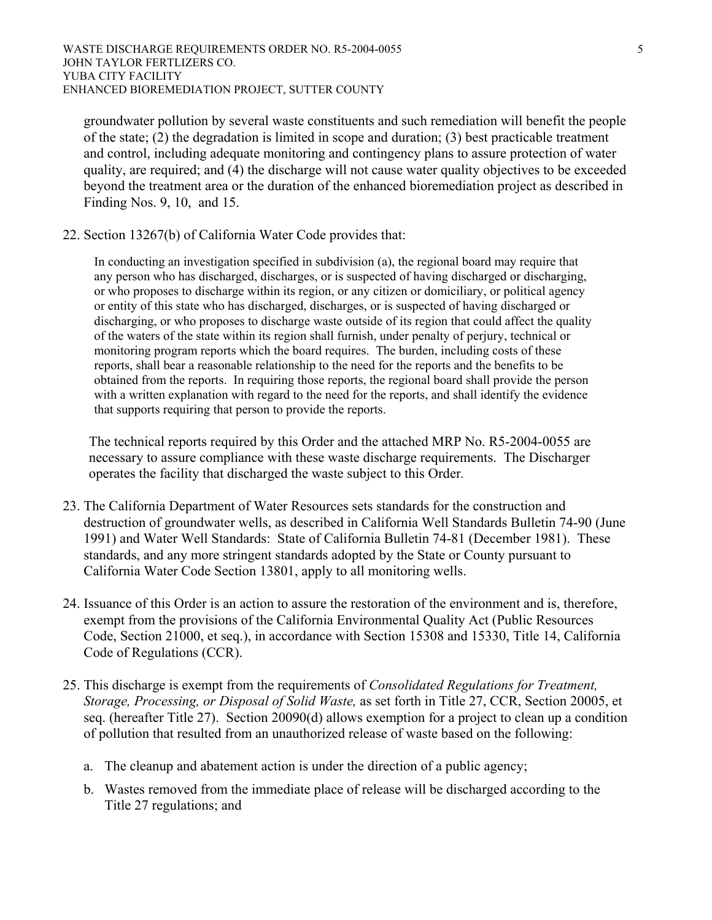groundwater pollution by several waste constituents and such remediation will benefit the people of the state; (2) the degradation is limited in scope and duration; (3) best practicable treatment and control, including adequate monitoring and contingency plans to assure protection of water quality, are required; and (4) the discharge will not cause water quality objectives to be exceeded beyond the treatment area or the duration of the enhanced bioremediation project as described in Finding Nos. 9, 10, and 15.

22. Section 13267(b) of California Water Code provides that:

In conducting an investigation specified in subdivision (a), the regional board may require that any person who has discharged, discharges, or is suspected of having discharged or discharging, or who proposes to discharge within its region, or any citizen or domiciliary, or political agency or entity of this state who has discharged, discharges, or is suspected of having discharged or discharging, or who proposes to discharge waste outside of its region that could affect the quality of the waters of the state within its region shall furnish, under penalty of perjury, technical or monitoring program reports which the board requires. The burden, including costs of these reports, shall bear a reasonable relationship to the need for the reports and the benefits to be obtained from the reports. In requiring those reports, the regional board shall provide the person with a written explanation with regard to the need for the reports, and shall identify the evidence that supports requiring that person to provide the reports.

The technical reports required by this Order and the attached MRP No. R5-2004-0055 are necessary to assure compliance with these waste discharge requirements. The Discharger operates the facility that discharged the waste subject to this Order*.*

- 23. The California Department of Water Resources sets standards for the construction and destruction of groundwater wells, as described in California Well Standards Bulletin 74-90 (June 1991) and Water Well Standards: State of California Bulletin 74-81 (December 1981). These standards, and any more stringent standards adopted by the State or County pursuant to California Water Code Section 13801, apply to all monitoring wells.
- 24. Issuance of this Order is an action to assure the restoration of the environment and is, therefore, exempt from the provisions of the California Environmental Quality Act (Public Resources Code, Section 21000, et seq.), in accordance with Section 15308 and 15330, Title 14, California Code of Regulations (CCR).
- 25. This discharge is exempt from the requirements of *Consolidated Regulations for Treatment, Storage, Processing, or Disposal of Solid Waste,* as set forth in Title 27, CCR, Section 20005, et seq. (hereafter Title 27). Section 20090(d) allows exemption for a project to clean up a condition of pollution that resulted from an unauthorized release of waste based on the following:
	- a. The cleanup and abatement action is under the direction of a public agency;
	- b. Wastes removed from the immediate place of release will be discharged according to the Title 27 regulations; and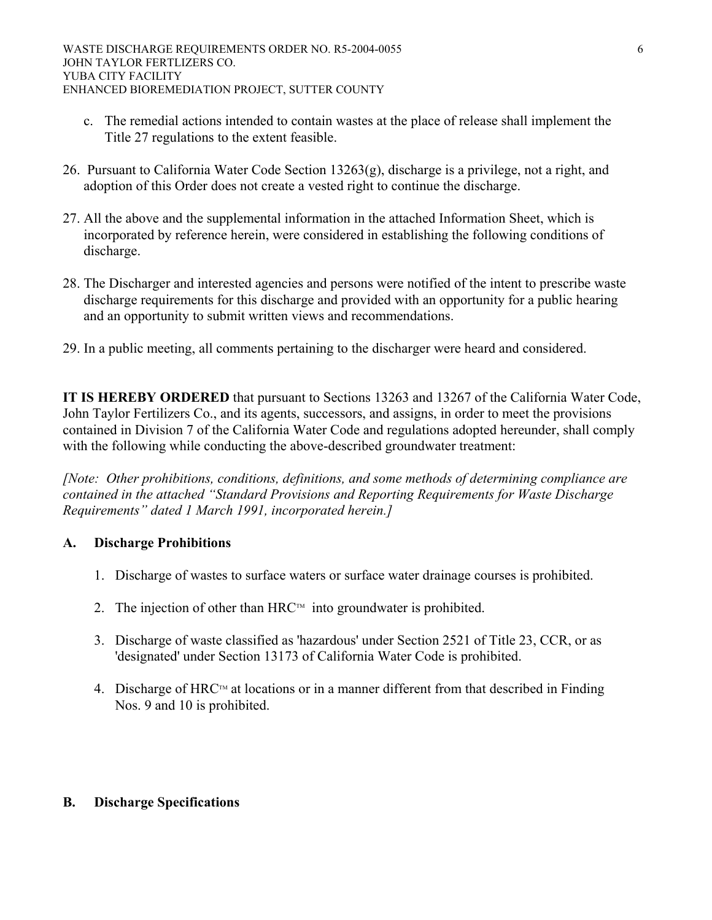- c. The remedial actions intended to contain wastes at the place of release shall implement the Title 27 regulations to the extent feasible.
- 26. Pursuant to California Water Code Section 13263(g), discharge is a privilege, not a right, and adoption of this Order does not create a vested right to continue the discharge.
- 27. All the above and the supplemental information in the attached Information Sheet, which is incorporated by reference herein, were considered in establishing the following conditions of discharge.
- 28. The Discharger and interested agencies and persons were notified of the intent to prescribe waste discharge requirements for this discharge and provided with an opportunity for a public hearing and an opportunity to submit written views and recommendations.
- 29. In a public meeting, all comments pertaining to the discharger were heard and considered.

**IT IS HEREBY ORDERED** that pursuant to Sections 13263 and 13267 of the California Water Code, John Taylor Fertilizers Co., and its agents, successors, and assigns, in order to meet the provisions contained in Division 7 of the California Water Code and regulations adopted hereunder, shall comply with the following while conducting the above-described groundwater treatment:

*[Note: Other prohibitions, conditions, definitions, and some methods of determining compliance are contained in the attached "Standard Provisions and Reporting Requirements for Waste Discharge Requirements" dated 1 March 1991, incorporated herein.]* 

#### **A. Discharge Prohibitions**

- 1. Discharge of wastes to surface waters or surface water drainage courses is prohibited.
- 2. The injection of other than HRC $\mathbb{R}^m$  into groundwater is prohibited.
- 3. Discharge of waste classified as 'hazardous' under Section 2521 of Title 23, CCR, or as 'designated' under Section 13173 of California Water Code is prohibited.
- 4. Discharge of HRC<sup>TM</sup> at locations or in a manner different from that described in Finding Nos. 9 and 10 is prohibited.

# **B. Discharge Specifications**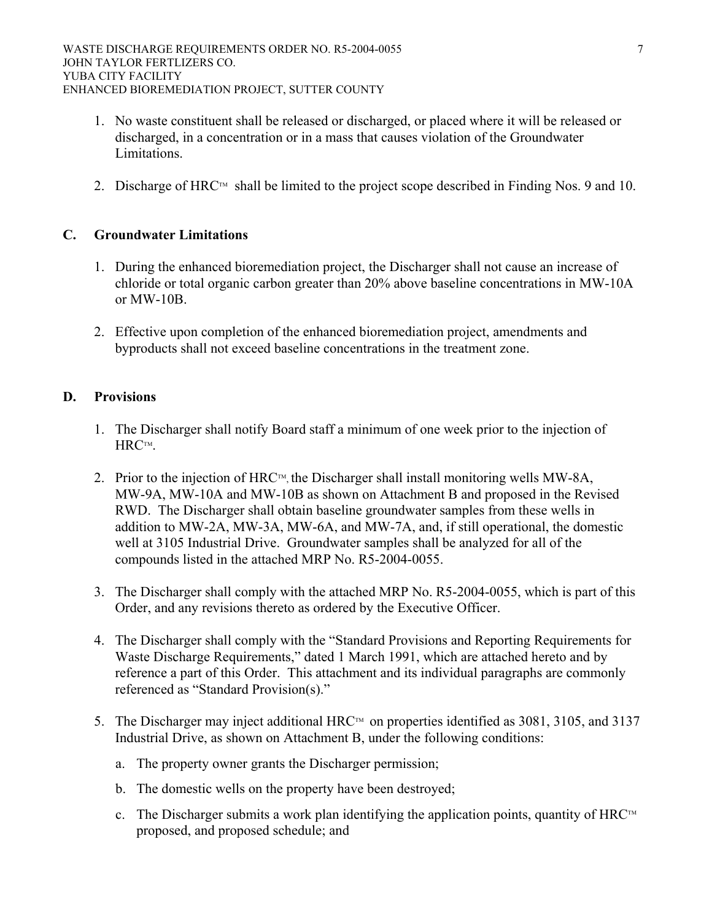- 1. No waste constituent shall be released or discharged, or placed where it will be released or discharged, in a concentration or in a mass that causes violation of the Groundwater Limitations.
- 2. Discharge of HRC<sup>TM</sup> shall be limited to the project scope described in Finding Nos. 9 and 10.

## **C. Groundwater Limitations**

- 1. During the enhanced bioremediation project, the Discharger shall not cause an increase of chloride or total organic carbon greater than 20% above baseline concentrations in MW-10A or MW-10B.
- 2. Effective upon completion of the enhanced bioremediation project, amendments and byproducts shall not exceed baseline concentrations in the treatment zone.

#### **D. Provisions**

- 1. The Discharger shall notify Board staff a minimum of one week prior to the injection of HRCTM.
- 2. Prior to the injection of  $HRC^{TM}$ , the Discharger shall install monitoring wells MW-8A, MW-9A, MW-10A and MW-10B as shown on Attachment B and proposed in the Revised RWD. The Discharger shall obtain baseline groundwater samples from these wells in addition to MW-2A, MW-3A, MW-6A, and MW-7A, and, if still operational, the domestic well at 3105 Industrial Drive. Groundwater samples shall be analyzed for all of the compounds listed in the attached MRP No. R5-2004-0055.
- 3. The Discharger shall comply with the attached MRP No. R5-2004-0055, which is part of this Order, and any revisions thereto as ordered by the Executive Officer.
- 4. The Discharger shall comply with the "Standard Provisions and Reporting Requirements for Waste Discharge Requirements," dated 1 March 1991, which are attached hereto and by reference a part of this Order. This attachment and its individual paragraphs are commonly referenced as "Standard Provision(s)."
- 5. The Discharger may inject additional HRC<sup>TM</sup> on properties identified as 3081, 3105, and 3137 Industrial Drive, as shown on Attachment B, under the following conditions:
	- a. The property owner grants the Discharger permission;
	- b. The domestic wells on the property have been destroyed;
	- c. The Discharger submits a work plan identifying the application points, quantity of  $HRC<sup>TM</sup>$ proposed, and proposed schedule; and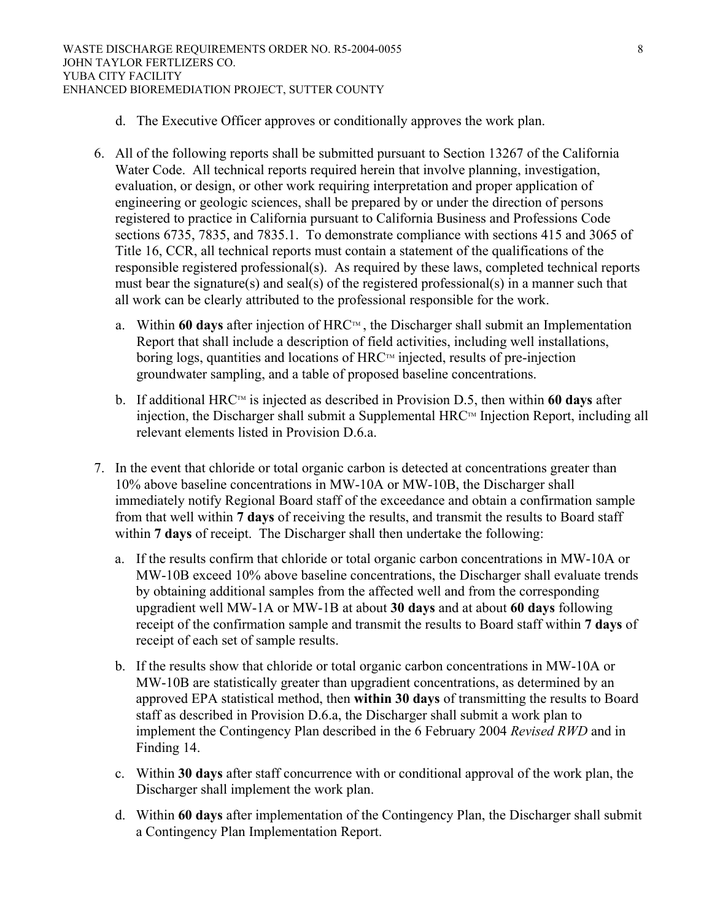- d. The Executive Officer approves or conditionally approves the work plan.
- 6. All of the following reports shall be submitted pursuant to Section 13267 of the California Water Code. All technical reports required herein that involve planning, investigation, evaluation, or design, or other work requiring interpretation and proper application of engineering or geologic sciences, shall be prepared by or under the direction of persons registered to practice in California pursuant to California Business and Professions Code sections 6735, 7835, and 7835.1. To demonstrate compliance with sections 415 and 3065 of Title 16, CCR, all technical reports must contain a statement of the qualifications of the responsible registered professional(s). As required by these laws, completed technical reports must bear the signature(s) and seal(s) of the registered professional(s) in a manner such that all work can be clearly attributed to the professional responsible for the work.
	- a. Within 60 days after injection of  $HRC<sub>TM</sub>$ , the Discharger shall submit an Implementation Report that shall include a description of field activities, including well installations, boring logs, quantities and locations of  $HRC<sup>TM</sup>$  injected, results of pre-injection groundwater sampling, and a table of proposed baseline concentrations.
	- b. If additional HRC™ is injected as described in Provision D.5, then within **60 days** after injection, the Discharger shall submit a Supplemental  $HRC<sup>TM</sup>$  Injection Report, including all relevant elements listed in Provision D.6.a.
- 7. In the event that chloride or total organic carbon is detected at concentrations greater than 10% above baseline concentrations in MW-10A or MW-10B, the Discharger shall immediately notify Regional Board staff of the exceedance and obtain a confirmation sample from that well within **7 days** of receiving the results, and transmit the results to Board staff within **7 days** of receipt. The Discharger shall then undertake the following:
	- a. If the results confirm that chloride or total organic carbon concentrations in MW-10A or MW-10B exceed 10% above baseline concentrations, the Discharger shall evaluate trends by obtaining additional samples from the affected well and from the corresponding upgradient well MW-1A or MW-1B at about **30 days** and at about **60 days** following receipt of the confirmation sample and transmit the results to Board staff within **7 days** of receipt of each set of sample results.
	- b. If the results show that chloride or total organic carbon concentrations in MW-10A or MW-10B are statistically greater than upgradient concentrations, as determined by an approved EPA statistical method, then **within 30 days** of transmitting the results to Board staff as described in Provision D.6.a, the Discharger shall submit a work plan to implement the Contingency Plan described in the 6 February 2004 *Revised RWD* and in Finding 14.
	- c. Within **30 days** after staff concurrence with or conditional approval of the work plan, the Discharger shall implement the work plan.
	- d. Within **60 days** after implementation of the Contingency Plan, the Discharger shall submit a Contingency Plan Implementation Report.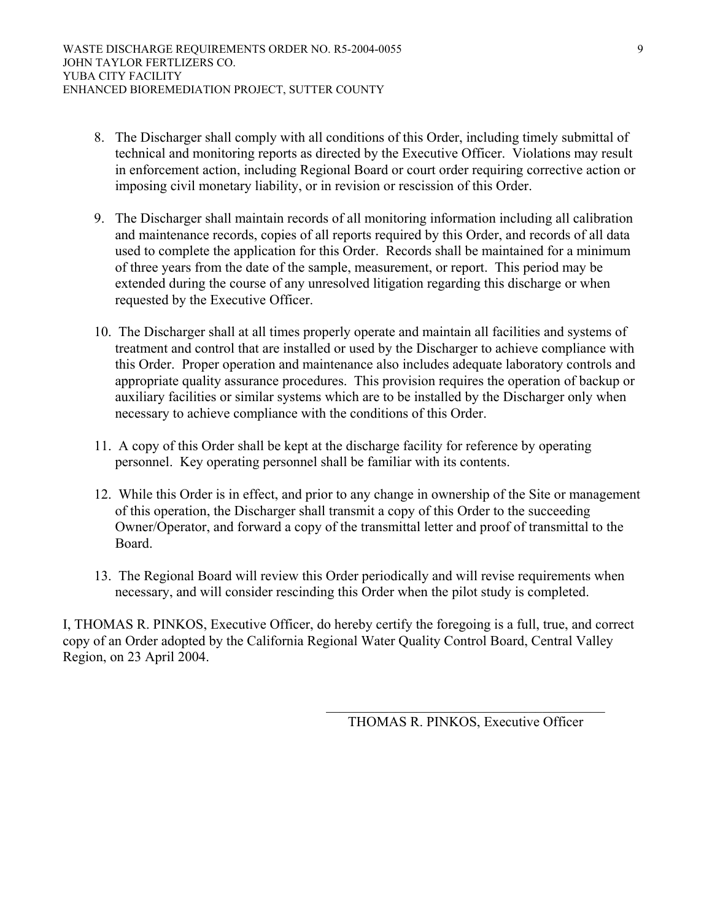- 8. The Discharger shall comply with all conditions of this Order, including timely submittal of technical and monitoring reports as directed by the Executive Officer. Violations may result in enforcement action, including Regional Board or court order requiring corrective action or imposing civil monetary liability, or in revision or rescission of this Order.
- 9. The Discharger shall maintain records of all monitoring information including all calibration and maintenance records, copies of all reports required by this Order, and records of all data used to complete the application for this Order. Records shall be maintained for a minimum of three years from the date of the sample, measurement, or report. This period may be extended during the course of any unresolved litigation regarding this discharge or when requested by the Executive Officer.
- 10. The Discharger shall at all times properly operate and maintain all facilities and systems of treatment and control that are installed or used by the Discharger to achieve compliance with this Order. Proper operation and maintenance also includes adequate laboratory controls and appropriate quality assurance procedures. This provision requires the operation of backup or auxiliary facilities or similar systems which are to be installed by the Discharger only when necessary to achieve compliance with the conditions of this Order.
- 11. A copy of this Order shall be kept at the discharge facility for reference by operating personnel. Key operating personnel shall be familiar with its contents.
- 12. While this Order is in effect, and prior to any change in ownership of the Site or management of this operation, the Discharger shall transmit a copy of this Order to the succeeding Owner/Operator, and forward a copy of the transmittal letter and proof of transmittal to the Board.
- 13. The Regional Board will review this Order periodically and will revise requirements when necessary, and will consider rescinding this Order when the pilot study is completed.

I, THOMAS R. PINKOS, Executive Officer, do hereby certify the foregoing is a full, true, and correct copy of an Order adopted by the California Regional Water Quality Control Board, Central Valley Region, on 23 April 2004.

 $\mathcal{L}_\mathcal{L} = \{ \mathcal{L}_\mathcal{L} \mid \mathcal{L}_\mathcal{L} \in \mathcal{L}_\mathcal{L} \}$ 

THOMAS R. PINKOS, Executive Officer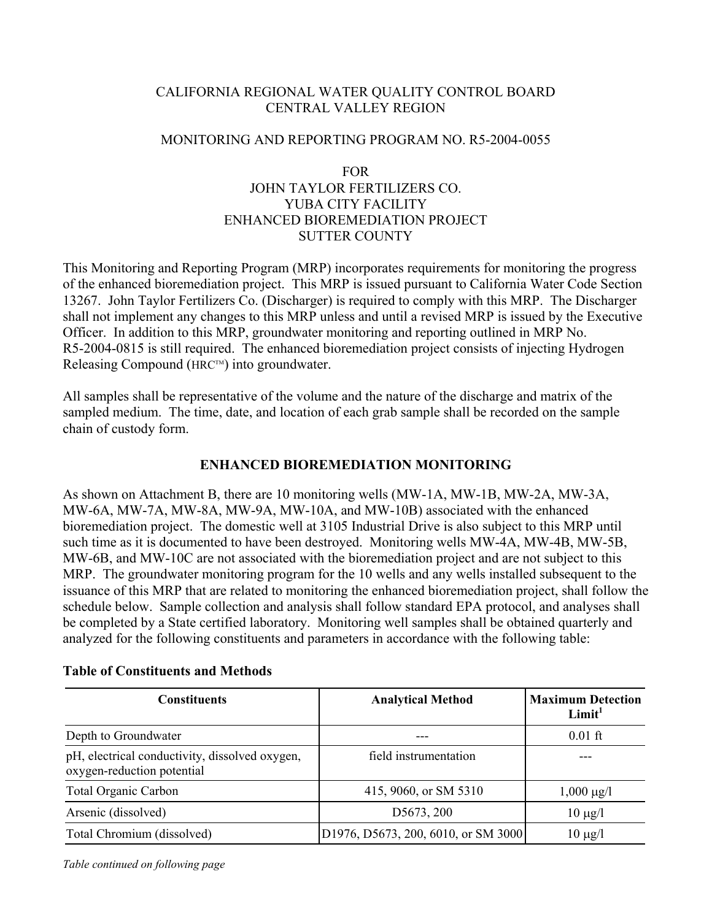## CALIFORNIA REGIONAL WATER QUALITY CONTROL BOARD CENTRAL VALLEY REGION

#### MONITORING AND REPORTING PROGRAM NO. R5-2004-0055

## FOR JOHN TAYLOR FERTILIZERS CO. YUBA CITY FACILITY ENHANCED BIOREMEDIATION PROJECT SUTTER COUNTY

This Monitoring and Reporting Program (MRP) incorporates requirements for monitoring the progress of the enhanced bioremediation project. This MRP is issued pursuant to California Water Code Section 13267. John Taylor Fertilizers Co. (Discharger) is required to comply with this MRP. The Discharger shall not implement any changes to this MRP unless and until a revised MRP is issued by the Executive Officer. In addition to this MRP, groundwater monitoring and reporting outlined in MRP No. R5-2004-0815 is still required. The enhanced bioremediation project consists of injecting Hydrogen Releasing Compound ( $HRC^{TM}$ ) into groundwater.

All samples shall be representative of the volume and the nature of the discharge and matrix of the sampled medium. The time, date, and location of each grab sample shall be recorded on the sample chain of custody form.

### **ENHANCED BIOREMEDIATION MONITORING**

As shown on Attachment B, there are 10 monitoring wells (MW-1A, MW-1B, MW-2A, MW-3A, MW-6A, MW-7A, MW-8A, MW-9A, MW-10A, and MW-10B) associated with the enhanced bioremediation project. The domestic well at 3105 Industrial Drive is also subject to this MRP until such time as it is documented to have been destroyed. Monitoring wells MW-4A, MW-4B, MW-5B, MW-6B, and MW-10C are not associated with the bioremediation project and are not subject to this MRP. The groundwater monitoring program for the 10 wells and any wells installed subsequent to the issuance of this MRP that are related to monitoring the enhanced bioremediation project, shall follow the schedule below. Sample collection and analysis shall follow standard EPA protocol, and analyses shall be completed by a State certified laboratory. Monitoring well samples shall be obtained quarterly and analyzed for the following constituents and parameters in accordance with the following table:

| <b>Constituents</b>                                                          | <b>Analytical Method</b>              | <b>Maximum Detection</b><br>Limit <sup>1</sup> |  |
|------------------------------------------------------------------------------|---------------------------------------|------------------------------------------------|--|
| Depth to Groundwater                                                         |                                       | $0.01$ ft                                      |  |
| pH, electrical conductivity, dissolved oxygen,<br>oxygen-reduction potential | field instrumentation                 |                                                |  |
| <b>Total Organic Carbon</b>                                                  | 415, 9060, or SM 5310                 | $1,000 \mu g/l$                                |  |
| Arsenic (dissolved)                                                          | D5673, 200                            | $10 \mu g/l$                                   |  |
| Total Chromium (dissolved)                                                   | [D1976, D5673, 200, 6010, or SM 3000] | $10 \mu g/l$                                   |  |

#### **Table of Constituents and Methods**

*Table continued on following page*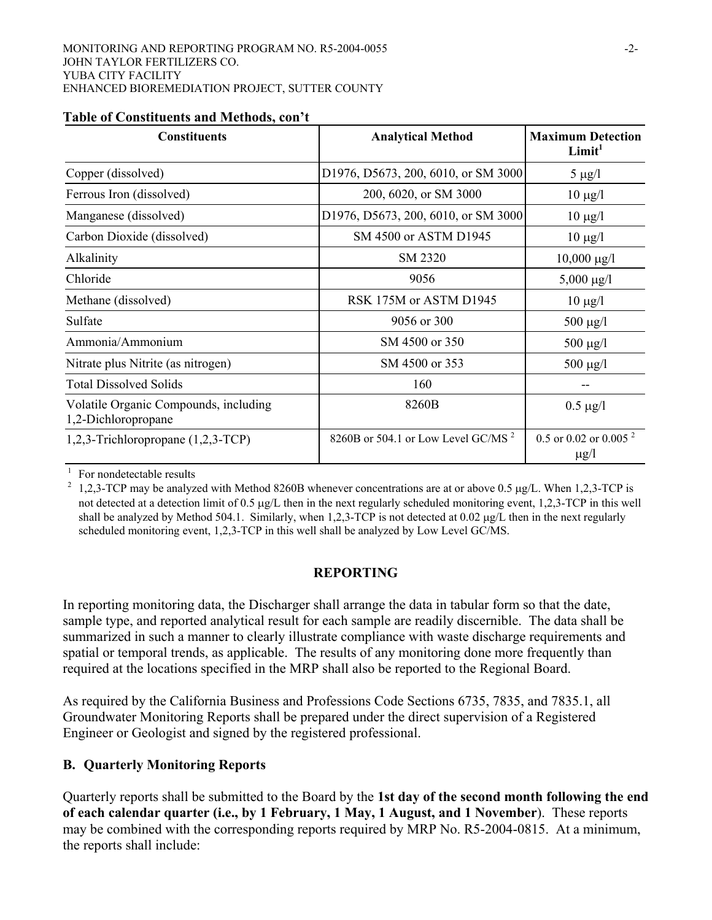| <b>Constituents</b>                                          | <b>Analytical Method</b>                       | <b>Maximum Detection</b><br>Limit <sup>1</sup> |
|--------------------------------------------------------------|------------------------------------------------|------------------------------------------------|
| Copper (dissolved)                                           | D1976, D5673, 200, 6010, or SM 3000            | 5 $\mu$ g/l                                    |
| Ferrous Iron (dissolved)                                     | 200, 6020, or SM 3000                          | $10 \mu g/l$                                   |
| Manganese (dissolved)                                        | D1976, D5673, 200, 6010, or SM 3000            | $10 \mu g/l$                                   |
| Carbon Dioxide (dissolved)                                   | SM 4500 or ASTM D1945                          | $10 \mu g/l$                                   |
| Alkalinity                                                   | SM 2320                                        | $10,000 \mu g/l$                               |
| Chloride                                                     | 9056                                           | $5,000 \mu g/l$                                |
| Methane (dissolved)                                          | RSK 175M or ASTM D1945                         | $10 \mu g/l$                                   |
| Sulfate                                                      | 9056 or 300                                    | $500 \mu g/l$                                  |
| Ammonia/Ammonium                                             | SM 4500 or 350                                 | $500 \mu g/l$                                  |
| Nitrate plus Nitrite (as nitrogen)                           | SM 4500 or 353                                 | 500 $\mu$ g/l                                  |
| <b>Total Dissolved Solids</b>                                | 160                                            |                                                |
| Volatile Organic Compounds, including<br>1,2-Dichloropropane | 8260B                                          | $0.5 \mu g/l$                                  |
| 1,2,3-Trichloropropane (1,2,3-TCP)                           | 8260B or 504.1 or Low Level GC/MS <sup>2</sup> | 0.5 or 0.02 or 0.005 $^{2}$<br>$\mu$ g/l       |

#### **Table of Constituents and Methods, con't**

<sup>1</sup> For nondetectable results<br><sup>2</sup> 1,2,3-TCP may be analyzed with Method 8260B whenever concentrations are at or above 0.5 µg/L. When 1,2,3-TCP is not detected at a detection limit of 0.5 µg/L then in the next regularly scheduled monitoring event, 1,2,3-TCP in this well shall be analyzed by Method 504.1. Similarly, when 1,2,3-TCP is not detected at 0.02 µg/L then in the next regularly scheduled monitoring event, 1,2,3-TCP in this well shall be analyzed by Low Level GC/MS.

#### **REPORTING**

In reporting monitoring data, the Discharger shall arrange the data in tabular form so that the date, sample type, and reported analytical result for each sample are readily discernible. The data shall be summarized in such a manner to clearly illustrate compliance with waste discharge requirements and spatial or temporal trends, as applicable. The results of any monitoring done more frequently than required at the locations specified in the MRP shall also be reported to the Regional Board.

As required by the California Business and Professions Code Sections 6735, 7835, and 7835.1, all Groundwater Monitoring Reports shall be prepared under the direct supervision of a Registered Engineer or Geologist and signed by the registered professional.

# **B. Quarterly Monitoring Reports**

Quarterly reports shall be submitted to the Board by the **1st day of the second month following the end of each calendar quarter (i.e., by 1 February, 1 May, 1 August, and 1 November**). These reports may be combined with the corresponding reports required by MRP No. R5-2004-0815. At a minimum, the reports shall include: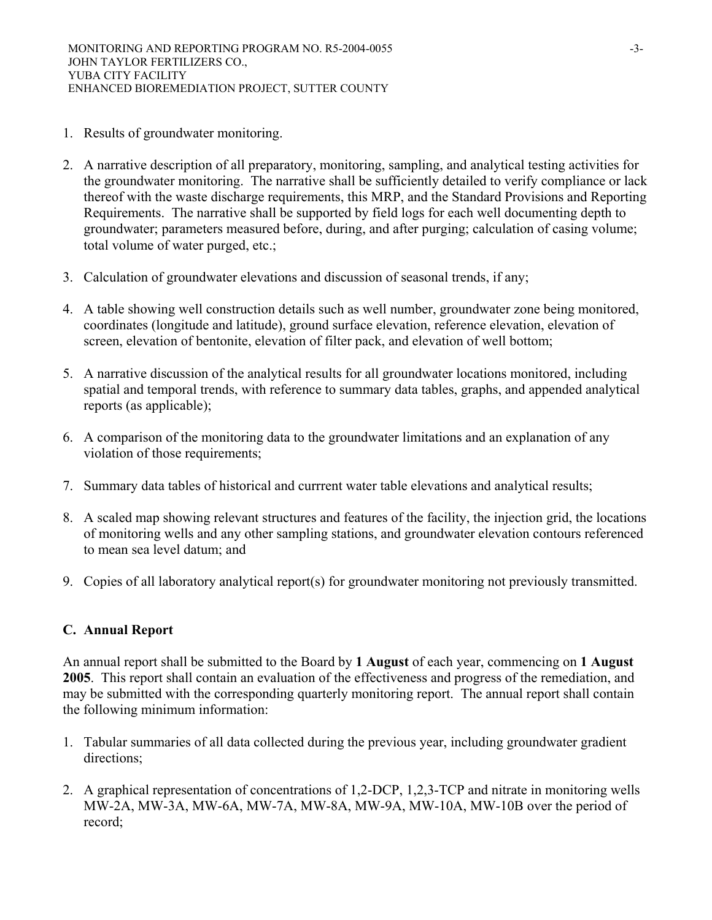- 1. Results of groundwater monitoring.
- 2. A narrative description of all preparatory, monitoring, sampling, and analytical testing activities for the groundwater monitoring. The narrative shall be sufficiently detailed to verify compliance or lack thereof with the waste discharge requirements, this MRP, and the Standard Provisions and Reporting Requirements. The narrative shall be supported by field logs for each well documenting depth to groundwater; parameters measured before, during, and after purging; calculation of casing volume; total volume of water purged, etc.;
- 3. Calculation of groundwater elevations and discussion of seasonal trends, if any;
- 4. A table showing well construction details such as well number, groundwater zone being monitored, coordinates (longitude and latitude), ground surface elevation, reference elevation, elevation of screen, elevation of bentonite, elevation of filter pack, and elevation of well bottom;
- 5. A narrative discussion of the analytical results for all groundwater locations monitored, including spatial and temporal trends, with reference to summary data tables, graphs, and appended analytical reports (as applicable);
- 6. A comparison of the monitoring data to the groundwater limitations and an explanation of any violation of those requirements;
- 7. Summary data tables of historical and currrent water table elevations and analytical results;
- 8. A scaled map showing relevant structures and features of the facility, the injection grid, the locations of monitoring wells and any other sampling stations, and groundwater elevation contours referenced to mean sea level datum; and
- 9. Copies of all laboratory analytical report(s) for groundwater monitoring not previously transmitted.

# **C. Annual Report**

An annual report shall be submitted to the Board by **1 August** of each year, commencing on **1 August 2005**. This report shall contain an evaluation of the effectiveness and progress of the remediation, and may be submitted with the corresponding quarterly monitoring report. The annual report shall contain the following minimum information:

- 1. Tabular summaries of all data collected during the previous year, including groundwater gradient directions;
- 2. A graphical representation of concentrations of 1,2-DCP, 1,2,3-TCP and nitrate in monitoring wells MW-2A, MW-3A, MW-6A, MW-7A, MW-8A, MW-9A, MW-10A, MW-10B over the period of record;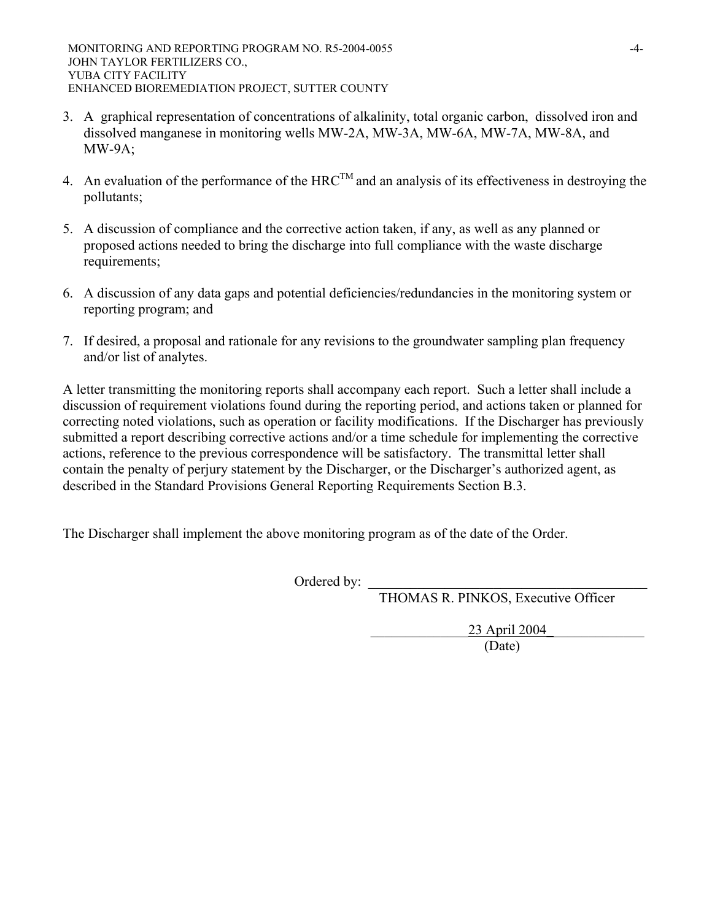- 3. A graphical representation of concentrations of alkalinity, total organic carbon, dissolved iron and dissolved manganese in monitoring wells MW-2A, MW-3A, MW-6A, MW-7A, MW-8A, and MW-9A;
- 4. An evaluation of the performance of the HRC<sup>TM</sup> and an analysis of its effectiveness in destroying the pollutants;
- 5. A discussion of compliance and the corrective action taken, if any, as well as any planned or proposed actions needed to bring the discharge into full compliance with the waste discharge requirements;
- 6. A discussion of any data gaps and potential deficiencies/redundancies in the monitoring system or reporting program; and
- 7. If desired, a proposal and rationale for any revisions to the groundwater sampling plan frequency and/or list of analytes.

A letter transmitting the monitoring reports shall accompany each report. Such a letter shall include a discussion of requirement violations found during the reporting period, and actions taken or planned for correcting noted violations, such as operation or facility modifications. If the Discharger has previously submitted a report describing corrective actions and/or a time schedule for implementing the corrective actions, reference to the previous correspondence will be satisfactory. The transmittal letter shall contain the penalty of perjury statement by the Discharger, or the Discharger's authorized agent, as described in the Standard Provisions General Reporting Requirements Section B.3.

The Discharger shall implement the above monitoring program as of the date of the Order.

Ordered by:

THOMAS R. PINKOS, Executive Officer

23 April 2004 (Date)